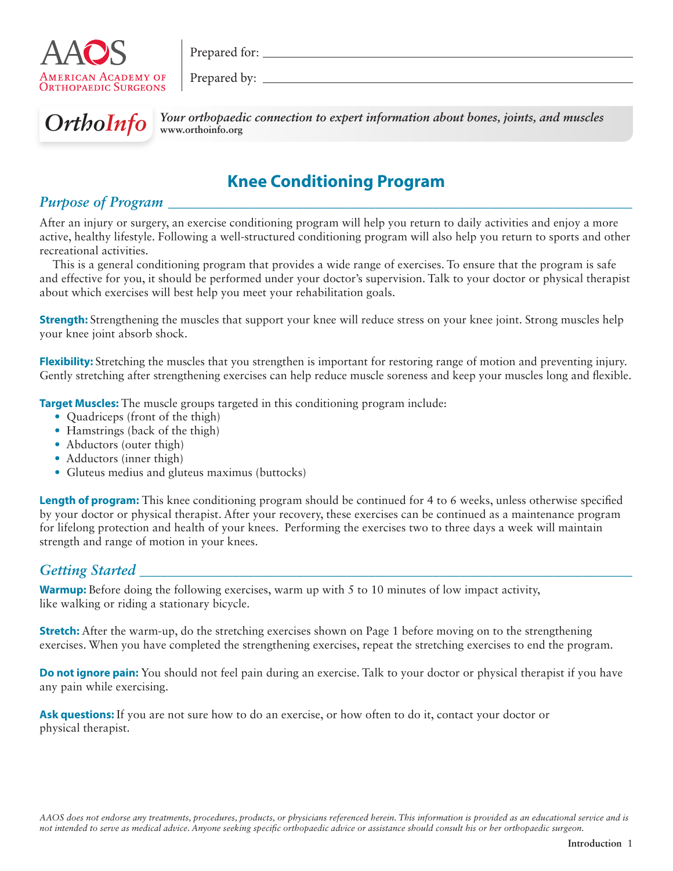

Prepared for:  $\qquad \qquad$ 

Prepared by:



**OrthoInfo** Your orthopaedic connection to expert information about bones, joints, and muscles **www.orthoinfo.org**

# **Knee Conditioning Program**

## *Purpose of Program*

After an injury or surgery, an exercise conditioning program will help you return to daily activities and enjoy a more active, healthy lifestyle. Following a well-structured conditioning program will also help you return to sports and other recreational activities.

This is a general conditioning program that provides a wide range of exercises. To ensure that the program is safe and effective for you, it should be performed under your doctor's supervision. Talk to your doctor or physical therapist about which exercises will best help you meet your rehabilitation goals.

**Strength:** Strengthening the muscles that support your knee will reduce stress on your knee joint. Strong muscles help your knee joint absorb shock.

**Flexibility:** Stretching the muscles that you strengthen is important for restoring range of motion and preventing injury. Gently stretching after strengthening exercises can help reduce muscle soreness and keep your muscles long and flexible.

**Target Muscles:** The muscle groups targeted in this conditioning program include:

- Quadriceps (front of the thigh)
- Hamstrings (back of the thigh)
- Abductors (outer thigh)
- Adductors (inner thigh)
- Gluteus medius and gluteus maximus (buttocks)

**Length of program:** This knee conditioning program should be continued for 4 to 6 weeks, unless otherwise specified by your doctor or physical therapist. After your recovery, these exercises can be continued as a maintenance program for lifelong protection and health of your knees. Performing the exercises two to three days a week will maintain strength and range of motion in your knees.

### *Getting Started \_\_\_\_\_\_\_\_\_\_\_\_\_\_\_\_\_\_\_\_\_\_\_\_\_\_\_\_\_\_\_\_\_\_\_\_\_\_\_\_\_\_\_\_\_\_\_\_\_\_\_\_\_\_\_\_\_\_\_\_\_\_\_\_\_\_\_\_\_*

**Warmup:** Before doing the following exercises, warm up with 5 to 10 minutes of low impact activity, like walking or riding a stationary bicycle.

**Stretch:** After the warm-up, do the stretching exercises shown on Page 1 before moving on to the strengthening exercises. When you have completed the strengthening exercises, repeat the stretching exercises to end the program.

**Do not ignore pain:** You should not feel pain during an exercise. Talk to your doctor or physical therapist if you have any pain while exercising.

**Ask questions:** If you are not sure how to do an exercise, or how often to do it, contact your doctor or physical therapist.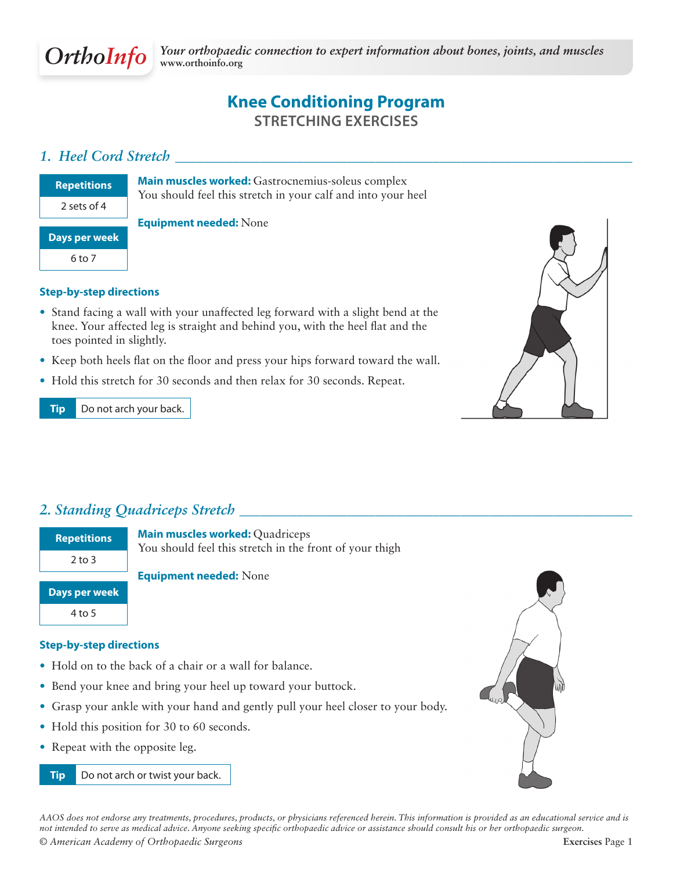

# **Knee Conditioning Program Stretching Exercises**

### *1. Heel Cord Stretch \_\_\_\_\_\_\_\_\_\_\_\_\_\_\_\_\_\_\_\_\_\_\_\_\_\_\_\_\_\_\_\_\_\_\_\_\_\_\_\_\_\_\_\_\_\_\_\_\_\_\_\_\_\_\_\_\_\_\_\_\_\_\_\_*

| <b>Repetitions</b>   |
|----------------------|
| 2 sets of 4          |
|                      |
| <b>Days per week</b> |
| 6 to 7               |
|                      |

**Main muscles worked:** Gastrocnemius-soleus complex You should feel this stretch in your calf and into your heel

### **Equipment needed:** None

### **Step-by-step directions**

- Stand facing a wall with your unaffected leg forward with a slight bend at the knee. Your affected leg is straight and behind you, with the heel flat and the toes pointed in slightly.
- Keep both heels flat on the floor and press your hips forward toward the wall.
- Hold this stretch for 30 seconds and then relax for 30 seconds. Repeat.

### **Tip** Do not arch your back.



## *2. Standing Quadriceps Stretch \_\_\_\_\_\_\_\_\_\_\_\_\_\_\_\_\_\_\_\_\_\_\_\_\_\_\_\_\_\_\_\_\_\_\_\_\_\_\_\_\_\_\_\_\_\_\_\_\_\_\_\_\_\_\_*

| <b>Repetitions</b> |
|--------------------|
| $2$ to 3           |
|                    |

**Days per week** 4 to 5

**Main muscles worked:** Quadriceps You should feel this stretch in the front of your thigh

**Equipment needed:** None

#### **Step-by-step directions**

- Hold on to the back of a chair or a wall for balance.
- Bend your knee and bring your heel up toward your buttock.
- Grasp your ankle with your hand and gently pull your heel closer to your body.
- Hold this position for 30 to 60 seconds.
- Repeat with the opposite leg.

**Tip** Do not arch or twist your back.



*AAOS does not endorse any treatments, procedures, products, or physicians referenced herein. This information is provided as an educational service and is not intended to serve as medical advice. Anyone seeking specific orthopaedic advice or assistance should consult his or her orthopaedic surgeon. © American Academy of Orthopaedic Surgeons* **Exercises** Page 1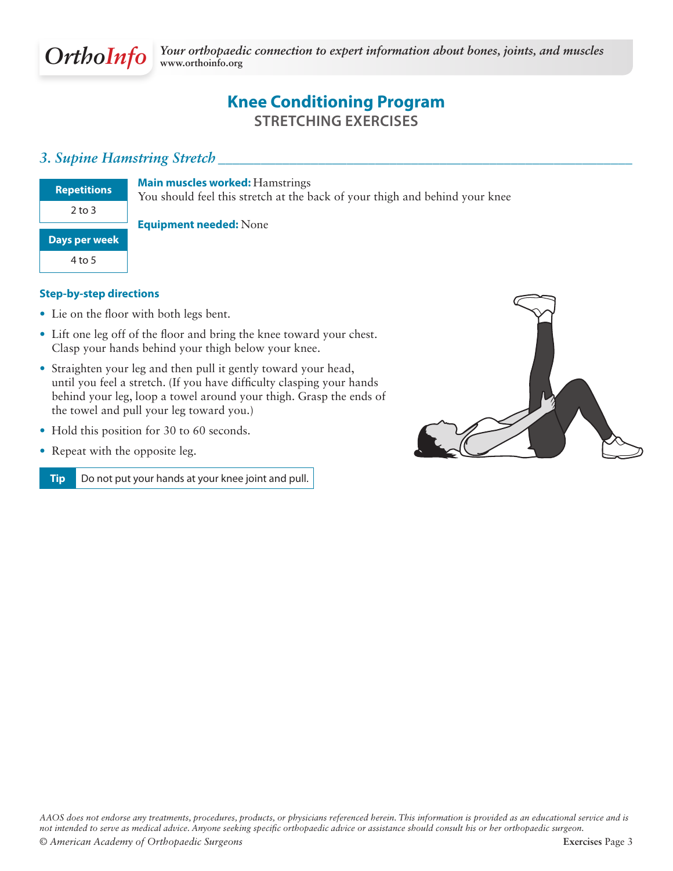

# **Knee Conditioning Program stretching Exercises**

### *3. Supine Hamstring Stretch \_\_\_\_\_\_\_\_\_\_\_\_\_\_\_\_\_\_\_\_\_\_\_\_\_\_\_\_\_\_\_\_\_\_\_\_\_\_\_\_\_\_\_\_\_\_\_\_\_\_\_\_\_\_\_\_\_\_*

| <b>Repetitions</b>   |
|----------------------|
| 2 to 3               |
| <b>Days per week</b> |
| 4 to 5               |

**Main muscles worked:** Hamstrings

You should feel this stretch at the back of your thigh and behind your knee

#### **Equipment needed:** None

### **Step-by-step directions**

- Lie on the floor with both legs bent.
- Lift one leg off of the floor and bring the knee toward your chest. Clasp your hands behind your thigh below your knee.
- Straighten your leg and then pull it gently toward your head, until you feel a stretch. (If you have difficulty clasping your hands behind your leg, loop a towel around your thigh. Grasp the ends of the towel and pull your leg toward you.)
- Hold this position for 30 to 60 seconds.
- Repeat with the opposite leg.

**Tip** Do not put your hands at your knee joint and pull.

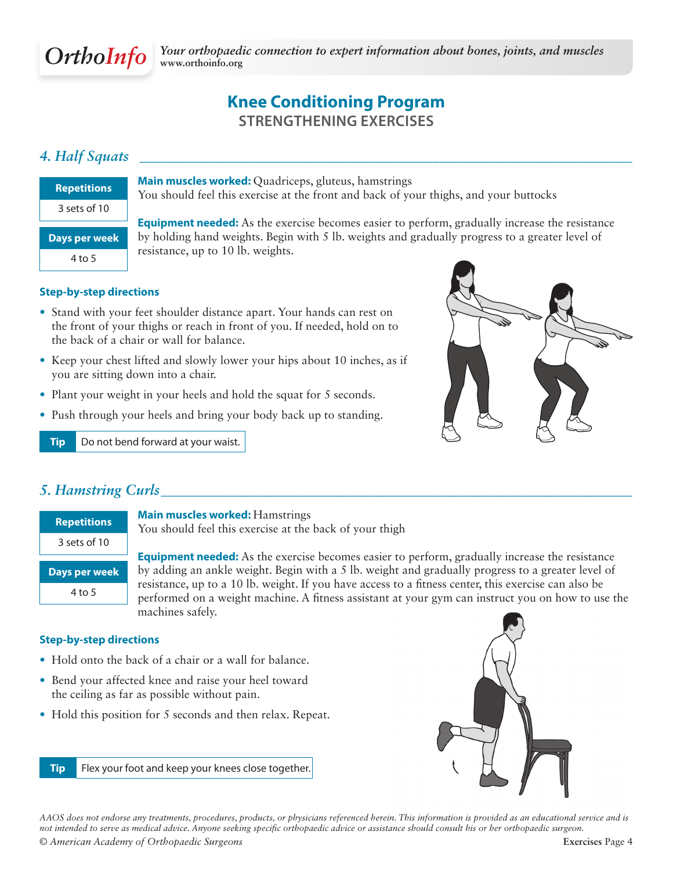

## **Knee Conditioning Program Strengthening Exercises**

## *4. Half Squats \_\_\_\_\_\_\_\_\_\_\_\_\_\_\_\_\_\_\_\_\_\_\_\_\_\_\_\_\_\_\_\_\_\_\_\_\_\_\_\_\_\_\_\_\_\_\_\_\_\_\_\_\_\_\_\_\_\_\_\_\_\_\_\_\_\_\_\_\_*

| <b>Repetitions</b>   |
|----------------------|
| $3$ sets of $10$     |
| <b>Days per week</b> |
| 4 to 5               |

**Main muscles worked:** Quadriceps, gluteus, hamstrings You should feel this exercise at the front and back of your thighs, and your buttocks

**Equipment needed:** As the exercise becomes easier to perform, gradually increase the resistance by holding hand weights. Begin with 5 lb. weights and gradually progress to a greater level of resistance, up to 10 lb. weights.

#### **Step-by-step directions**

- Stand with your feet shoulder distance apart. Your hands can rest on the front of your thighs or reach in front of you. If needed, hold on to the back of a chair or wall for balance.
- Keep your chest lifted and slowly lower your hips about 10 inches, as if you are sitting down into a chair.
- Plant your weight in your heels and hold the squat for 5 seconds.
- Push through your heels and bring your body back up to standing.

**Tip** Do not bend forward at your waist.



### *5. Hamstring Curls\_\_\_\_\_\_\_\_\_\_\_\_\_\_\_\_\_\_\_\_\_\_\_\_\_\_\_\_\_\_\_\_\_\_\_\_\_\_\_\_\_\_\_\_\_\_\_\_\_\_\_\_\_\_\_\_\_\_\_\_\_\_\_\_\_\_*

| <b>Repetitions</b> |
|--------------------|
| $3$ sets of $10$   |
| Days per week      |
| 4 to 5             |

**Main muscles worked:** Hamstrings

You should feel this exercise at the back of your thigh

**Equipment needed:** As the exercise becomes easier to perform, gradually increase the resistance by adding an ankle weight. Begin with a 5 lb. weight and gradually progress to a greater level of resistance, up to a 10 lb. weight. If you have access to a fitness center, this exercise can also be performed on a weight machine. A fitness assistant at your gym can instruct you on how to use the machines safely.

#### **Step-by-step directions**

- Hold onto the back of a chair or a wall for balance.
- Bend your affected knee and raise your heel toward the ceiling as far as possible without pain.
- Hold this position for 5 seconds and then relax. Repeat.





*© American Academy of Orthopaedic Surgeons* **Exercises** Page 4 *AAOS does not endorse any treatments, procedures, products, or physicians referenced herein. This information is provided as an educational service and is not intended to serve as medical advice. Anyone seeking specific orthopaedic advice or assistance should consult his or her orthopaedic surgeon.*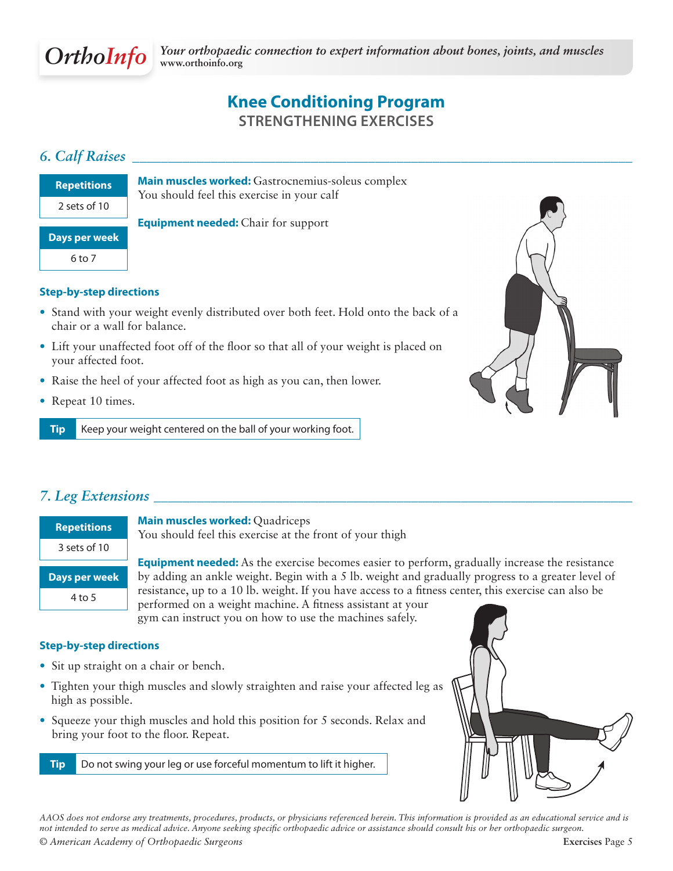

## **Knee Conditioning Program Strengthening Exercises**

### *6. Calf Raises \_\_\_\_\_\_\_\_\_\_\_\_\_\_\_\_\_\_\_\_\_\_\_\_\_\_\_\_\_\_\_\_\_\_\_\_\_\_\_\_\_\_\_\_\_\_\_\_\_\_\_\_\_\_\_\_\_\_\_\_\_\_\_\_\_\_\_\_\_\_*

| <b>Repetitions</b> |
|--------------------|
| $2$ sets of $10$   |
| Days per week      |
| 6 to 7             |
|                    |

**Main muscles worked:** Gastrocnemius-soleus complex You should feel this exercise in your calf

**Equipment needed:** Chair for support

### **Step-by-step directions**

- Stand with your weight evenly distributed over both feet. Hold onto the back of a chair or a wall for balance.
- Lift your unaffected foot off of the floor so that all of your weight is placed on your affected foot.
- Raise the heel of your affected foot as high as you can, then lower.
- Repeat 10 times.

**Tip** Keep your weight centered on the ball of your working foot.



### *7. Leg Extensions \_\_\_\_\_\_\_\_\_\_\_\_\_\_\_\_\_\_\_\_\_\_\_\_\_\_\_\_\_\_\_\_\_\_\_\_\_\_\_\_\_\_\_\_\_\_\_\_\_\_\_\_\_\_\_\_\_\_\_\_\_\_\_\_\_\_\_*

| <b>Repetitions</b>   |
|----------------------|
| $3$ sets of $10$     |
| <b>Days per week</b> |
| 4 to 5               |

**Main muscles worked:** Quadriceps

You should feel this exercise at the front of your thigh

**Equipment needed:** As the exercise becomes easier to perform, gradually increase the resistance by adding an ankle weight. Begin with a 5 lb. weight and gradually progress to a greater level of resistance, up to a 10 lb. weight. If you have access to a fitness center, this exercise can also be performed on a weight machine. A fitness assistant at your

gym can instruct you on how to use the machines safely.

#### **Step-by-step directions**

- Sit up straight on a chair or bench.
- Tighten your thigh muscles and slowly straighten and raise your affected leg as high as possible.
- Squeeze your thigh muscles and hold this position for 5 seconds. Relax and bring your foot to the floor. Repeat.

**Tip** Do not swing your leg or use forceful momentum to lift it higher.



*© American Academy of Orthopaedic Surgeons* **Exercises** Page 5 *AAOS does not endorse any treatments, procedures, products, or physicians referenced herein. This information is provided as an educational service and is not intended to serve as medical advice. Anyone seeking specific orthopaedic advice or assistance should consult his or her orthopaedic surgeon.*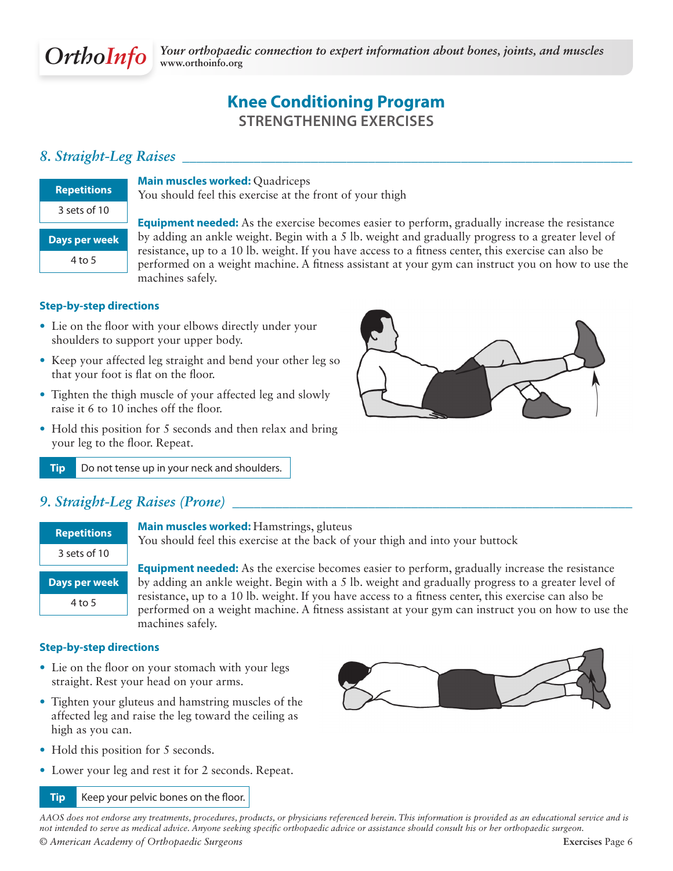

# **Knee Conditioning Program Strengthening Exercises**

### *8. Straight-Leg Raises \_\_\_\_\_\_\_\_\_\_\_\_\_\_\_\_\_\_\_\_\_\_\_\_\_\_\_\_\_\_\_\_\_\_\_\_\_\_\_\_\_\_\_\_\_\_\_\_\_\_\_\_\_\_\_\_\_\_\_\_\_\_\_*

| <b>Repetitions</b> |
|--------------------|
| $3$ sets of $10$   |
| Days per week      |
| 4 to 5             |

**Main muscles worked:** Quadriceps You should feel this exercise at the front of your thigh

**Equipment needed:** As the exercise becomes easier to perform, gradually increase the resistance by adding an ankle weight. Begin with a 5 lb. weight and gradually progress to a greater level of resistance, up to a 10 lb. weight. If you have access to a fitness center, this exercise can also be performed on a weight machine. A fitness assistant at your gym can instruct you on how to use the machines safely.

### **Step-by-step directions**

- Lie on the floor with your elbows directly under your shoulders to support your upper body.
- Keep your affected leg straight and bend your other leg so that your foot is flat on the floor.
- Tighten the thigh muscle of your affected leg and slowly raise it 6 to 10 inches off the floor.
- Hold this position for 5 seconds and then relax and bring your leg to the floor. Repeat.



**Tip** Do not tense up in your neck and shoulders.

### *9. Straight-Leg Raises (Prone) \_\_\_\_\_\_\_\_\_\_\_\_\_\_\_\_\_\_\_\_\_\_\_\_\_\_\_\_\_\_\_\_\_\_\_\_\_\_\_\_\_\_\_\_\_\_\_\_\_\_\_\_\_\_\_\_*

**Main muscles worked:** Hamstrings, gluteus You should feel this exercise at the back of your thigh and into your buttock

**Equipment needed:** As the exercise becomes easier to perform, gradually increase the resistance by adding an ankle weight. Begin with a 5 lb. weight and gradually progress to a greater level of resistance, up to a 10 lb. weight. If you have access to a fitness center, this exercise can also be performed on a weight machine. A fitness assistant at your gym can instruct you on how to use the machines safely.

#### **Step-by-step directions**

- Lie on the floor on your stomach with your legs straight. Rest your head on your arms.
- Tighten your gluteus and hamstring muscles of the affected leg and raise the leg toward the ceiling as high as you can.
- Hold this position for 5 seconds.
- Lower your leg and rest it for 2 seconds. Repeat.

#### **Tip** Keep your pelvic bones on the floor.



*AAOS does not endorse any treatments, procedures, products, or physicians referenced herein. This information is provided as an educational service and is not intended to serve as medical advice. Anyone seeking specific orthopaedic advice or assistance should consult his or her orthopaedic surgeon.*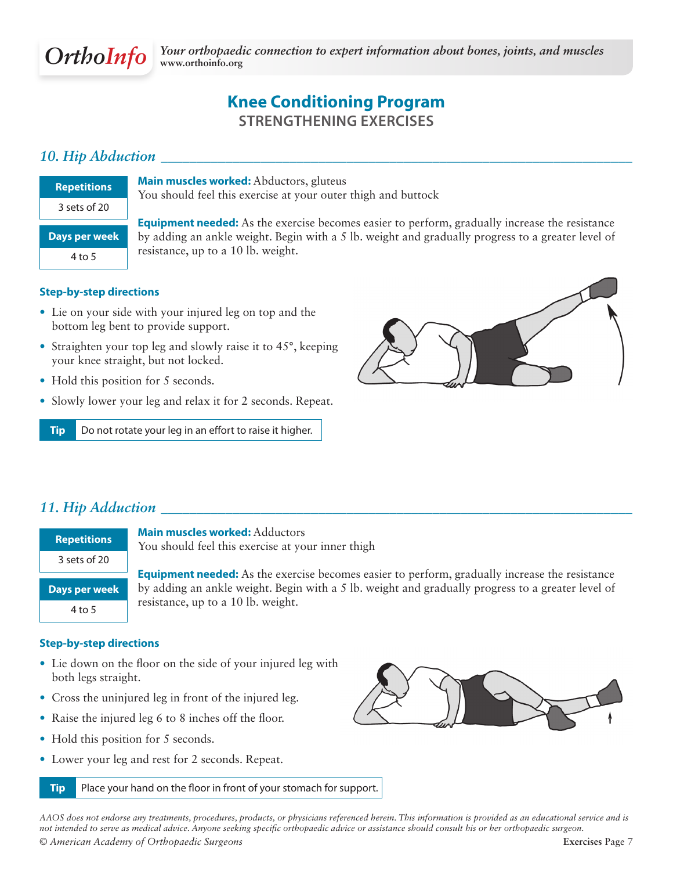

# **Knee Conditioning Program Strengthening Exercises**

### *10. Hip Abduction \_\_\_\_\_\_\_\_\_\_\_\_\_\_\_\_\_\_\_\_\_\_\_\_\_\_\_\_\_\_\_\_\_\_\_\_\_\_\_\_\_\_\_\_\_\_\_\_\_\_\_\_\_\_\_\_\_\_\_\_\_\_\_\_\_\_*

| Repetitions   |
|---------------|
| 3 sets of 20  |
| Days per week |
| 4 to 5        |
|               |

**Main muscles worked:** Abductors, gluteus You should feel this exercise at your outer thigh and buttock

**Equipment needed:** As the exercise becomes easier to perform, gradually increase the resistance by adding an ankle weight. Begin with a 5 lb. weight and gradually progress to a greater level of resistance, up to a 10 lb. weight.

#### **Step-by-step directions**

- Lie on your side with your injured leg on top and the bottom leg bent to provide support.
- Straighten your top leg and slowly raise it to 45°, keeping your knee straight, but not locked.
- Hold this position for 5 seconds.
- Slowly lower your leg and relax it for 2 seconds. Repeat.

**Tip** Do not rotate your leg in an effort to raise it higher.



### *11. Hip Adduction \_\_\_\_\_\_\_\_\_\_\_\_\_\_\_\_\_\_\_\_\_\_\_\_\_\_\_\_\_\_\_\_\_\_\_\_\_\_\_\_\_\_\_\_\_\_\_\_\_\_\_\_\_\_\_\_\_\_\_\_\_\_\_\_\_\_*

| <b>Repetitions</b> |
|--------------------|
| 3 sets of 20       |

**Main muscles worked:** Adductors You should feel this exercise at your inner thigh

**Days per week** 4 to 5

**Equipment needed:** As the exercise becomes easier to perform, gradually increase the resistance by adding an ankle weight. Begin with a 5 lb. weight and gradually progress to a greater level of resistance, up to a 10 lb. weight.

#### **Step-by-step directions**

- Lie down on the floor on the side of your injured leg with both legs straight.
- Cross the uninjured leg in front of the injured leg.
- Raise the injured leg 6 to 8 inches off the floor.
- Hold this position for 5 seconds.
- Lower your leg and rest for 2 seconds. Repeat.

**Tip** Place your hand on the floor in front of your stomach for support.



*© American Academy of Orthopaedic Surgeons* **Exercises** Page 7 *AAOS does not endorse any treatments, procedures, products, or physicians referenced herein. This information is provided as an educational service and is not intended to serve as medical advice. Anyone seeking specific orthopaedic advice or assistance should consult his or her orthopaedic surgeon.*